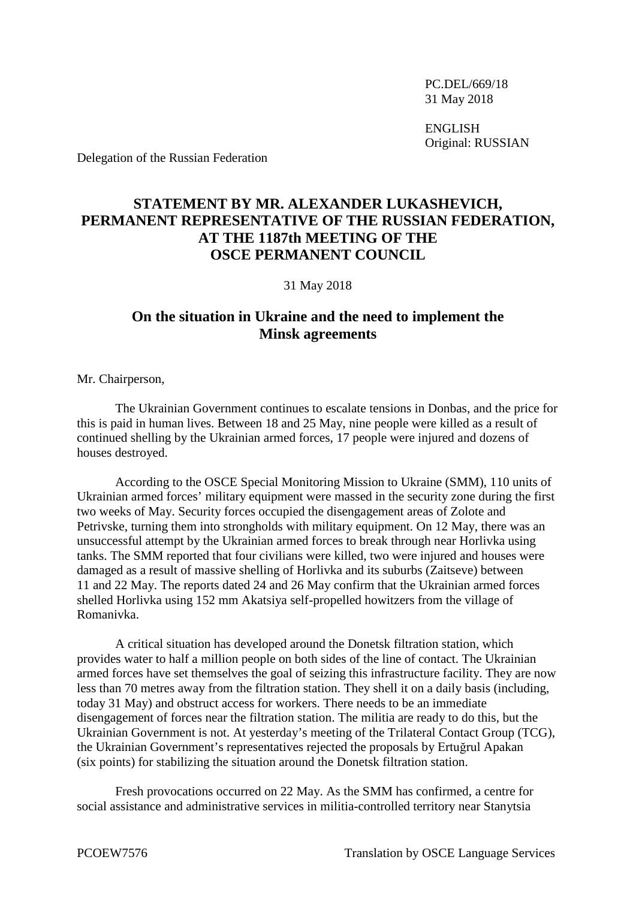PC.DEL/669/18 31 May 2018

ENGLISH Original: RUSSIAN

Delegation of the Russian Federation

## **STATEMENT BY MR. ALEXANDER LUKASHEVICH, PERMANENT REPRESENTATIVE OF THE RUSSIAN FEDERATION, AT THE 1187th MEETING OF THE OSCE PERMANENT COUNCIL**

31 May 2018

## **On the situation in Ukraine and the need to implement the Minsk agreements**

Mr. Chairperson,

The Ukrainian Government continues to escalate tensions in Donbas, and the price for this is paid in human lives. Between 18 and 25 May, nine people were killed as a result of continued shelling by the Ukrainian armed forces, 17 people were injured and dozens of houses destroyed.

According to the OSCE Special Monitoring Mission to Ukraine (SMM), 110 units of Ukrainian armed forces' military equipment were massed in the security zone during the first two weeks of May. Security forces occupied the disengagement areas of Zolote and Petrivske, turning them into strongholds with military equipment. On 12 May, there was an unsuccessful attempt by the Ukrainian armed forces to break through near Horlivka using tanks. The SMM reported that four civilians were killed, two were injured and houses were damaged as a result of massive shelling of Horlivka and its suburbs (Zaitseve) between 11 and 22 May. The reports dated 24 and 26 May confirm that the Ukrainian armed forces shelled Horlivka using 152 mm Akatsiya self-propelled howitzers from the village of Romanivka.

A critical situation has developed around the Donetsk filtration station, which provides water to half a million people on both sides of the line of contact. The Ukrainian armed forces have set themselves the goal of seizing this infrastructure facility. They are now less than 70 metres away from the filtration station. They shell it on a daily basis (including, today 31 May) and obstruct access for workers. There needs to be an immediate disengagement of forces near the filtration station. The militia are ready to do this, but the Ukrainian Government is not. At yesterday's meeting of the Trilateral Contact Group (TCG), the Ukrainian Government's representatives rejected the proposals by Ertuğrul Apakan (six points) for stabilizing the situation around the Donetsk filtration station.

Fresh provocations occurred on 22 May. As the SMM has confirmed, a centre for social assistance and administrative services in militia-controlled territory near Stanytsia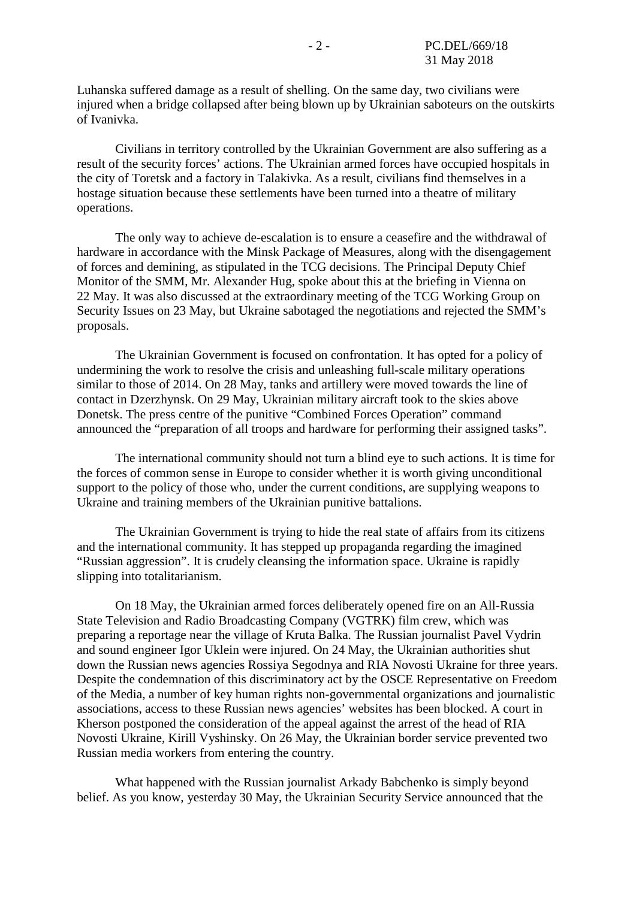Luhanska suffered damage as a result of shelling. On the same day, two civilians were injured when a bridge collapsed after being blown up by Ukrainian saboteurs on the outskirts of Ivanivka.

Civilians in territory controlled by the Ukrainian Government are also suffering as a result of the security forces' actions. The Ukrainian armed forces have occupied hospitals in the city of Toretsk and a factory in Talakivka. As a result, civilians find themselves in a hostage situation because these settlements have been turned into a theatre of military operations.

The only way to achieve de-escalation is to ensure a ceasefire and the withdrawal of hardware in accordance with the Minsk Package of Measures, along with the disengagement of forces and demining, as stipulated in the TCG decisions. The Principal Deputy Chief Monitor of the SMM, Mr. Alexander Hug, spoke about this at the briefing in Vienna on 22 May. It was also discussed at the extraordinary meeting of the TCG Working Group on Security Issues on 23 May, but Ukraine sabotaged the negotiations and rejected the SMM's proposals.

The Ukrainian Government is focused on confrontation. It has opted for a policy of undermining the work to resolve the crisis and unleashing full-scale military operations similar to those of 2014. On 28 May, tanks and artillery were moved towards the line of contact in Dzerzhynsk. On 29 May, Ukrainian military aircraft took to the skies above Donetsk. The press centre of the punitive "Combined Forces Operation" command announced the "preparation of all troops and hardware for performing their assigned tasks".

The international community should not turn a blind eye to such actions. It is time for the forces of common sense in Europe to consider whether it is worth giving unconditional support to the policy of those who, under the current conditions, are supplying weapons to Ukraine and training members of the Ukrainian punitive battalions.

The Ukrainian Government is trying to hide the real state of affairs from its citizens and the international community. It has stepped up propaganda regarding the imagined "Russian aggression". It is crudely cleansing the information space. Ukraine is rapidly slipping into totalitarianism.

On 18 May, the Ukrainian armed forces deliberately opened fire on an All-Russia State Television and Radio Broadcasting Company (VGTRK) film crew, which was preparing a reportage near the village of Kruta Balka. The Russian journalist Pavel Vydrin and sound engineer Igor Uklein were injured. On 24 May, the Ukrainian authorities shut down the Russian news agencies Rossiya Segodnya and RIA Novosti Ukraine for three years. Despite the condemnation of this discriminatory act by the OSCE Representative on Freedom of the Media, a number of key human rights non-governmental organizations and journalistic associations, access to these Russian news agencies' websites has been blocked. A court in Kherson postponed the consideration of the appeal against the arrest of the head of RIA Novosti Ukraine, Kirill Vyshinsky. On 26 May, the Ukrainian border service prevented two Russian media workers from entering the country.

What happened with the Russian journalist Arkady Babchenko is simply beyond belief. As you know, yesterday 30 May, the Ukrainian Security Service announced that the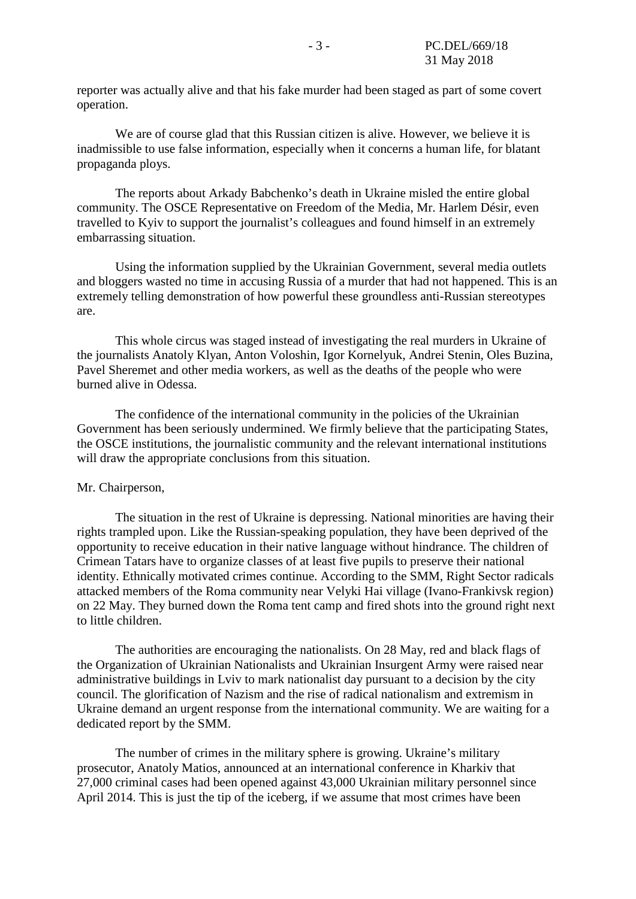reporter was actually alive and that his fake murder had been staged as part of some covert operation.

We are of course glad that this Russian citizen is alive. However, we believe it is inadmissible to use false information, especially when it concerns a human life, for blatant propaganda ploys.

The reports about Arkady Babchenko's death in Ukraine misled the entire global community. The OSCE Representative on Freedom of the Media, Mr. Harlem Désir, even travelled to Kyiv to support the journalist's colleagues and found himself in an extremely embarrassing situation.

Using the information supplied by the Ukrainian Government, several media outlets and bloggers wasted no time in accusing Russia of a murder that had not happened. This is an extremely telling demonstration of how powerful these groundless anti-Russian stereotypes are.

This whole circus was staged instead of investigating the real murders in Ukraine of the journalists Anatoly Klyan, Anton Voloshin, Igor Kornelyuk, Andrei Stenin, Oles Buzina, Pavel Sheremet and other media workers, as well as the deaths of the people who were burned alive in Odessa.

The confidence of the international community in the policies of the Ukrainian Government has been seriously undermined. We firmly believe that the participating States, the OSCE institutions, the journalistic community and the relevant international institutions will draw the appropriate conclusions from this situation.

## Mr. Chairperson,

The situation in the rest of Ukraine is depressing. National minorities are having their rights trampled upon. Like the Russian-speaking population, they have been deprived of the opportunity to receive education in their native language without hindrance. The children of Crimean Tatars have to organize classes of at least five pupils to preserve their national identity. Ethnically motivated crimes continue. According to the SMM, Right Sector radicals attacked members of the Roma community near Velyki Hai village (Ivano-Frankivsk region) on 22 May. They burned down the Roma tent camp and fired shots into the ground right next to little children.

The authorities are encouraging the nationalists. On 28 May, red and black flags of the Organization of Ukrainian Nationalists and Ukrainian Insurgent Army were raised near administrative buildings in Lviv to mark nationalist day pursuant to a decision by the city council. The glorification of Nazism and the rise of radical nationalism and extremism in Ukraine demand an urgent response from the international community. We are waiting for a dedicated report by the SMM.

The number of crimes in the military sphere is growing. Ukraine's military prosecutor, Anatoly Matios, announced at an international conference in Kharkiv that 27,000 criminal cases had been opened against 43,000 Ukrainian military personnel since April 2014. This is just the tip of the iceberg, if we assume that most crimes have been